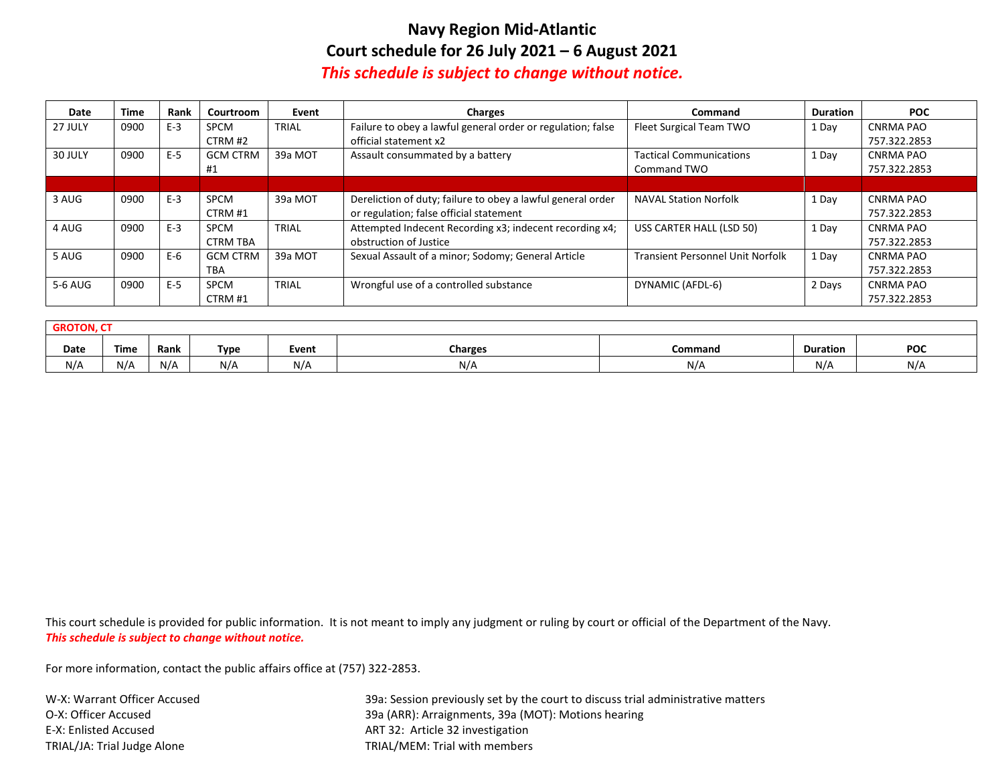## **Navy Region Mid-Atlantic Court schedule for 26 July 2021 – 6 August 2021** *This schedule is subject to change without notice.*

| Date    | <b>Time</b> | Rank  | Courtroom       | Event        | <b>Charges</b>                                              | Command                                 | <b>Duration</b> | <b>POC</b>       |
|---------|-------------|-------|-----------------|--------------|-------------------------------------------------------------|-----------------------------------------|-----------------|------------------|
| 27 JULY | 0900        | $E-3$ | <b>SPCM</b>     | <b>TRIAL</b> | Failure to obey a lawful general order or regulation; false | Fleet Surgical Team TWO                 | 1 Day           | <b>CNRMA PAO</b> |
|         |             |       | CTRM#2          |              | official statement x2                                       |                                         |                 | 757.322.2853     |
| 30 JULY | 0900        | $E-5$ | <b>GCM CTRM</b> | 39a MOT      | Assault consummated by a battery                            | <b>Tactical Communications</b>          | 1 Day           | <b>CNRMA PAO</b> |
|         |             |       | #1              |              |                                                             | Command TWO                             |                 | 757.322.2853     |
|         |             |       |                 |              |                                                             |                                         |                 |                  |
| 3 AUG   | 0900        | $E-3$ | <b>SPCM</b>     | 39a MOT      | Dereliction of duty; failure to obey a lawful general order | <b>NAVAL Station Norfolk</b>            | 1 Day           | CNRMA PAO        |
|         |             |       | CTRM#1          |              | or regulation; false official statement                     |                                         |                 | 757.322.2853     |
| 4 AUG   | 0900        | $E-3$ | <b>SPCM</b>     | TRIAL        | Attempted Indecent Recording x3; indecent recording x4;     | USS CARTER HALL (LSD 50)                | 1 Day           | <b>CNRMA PAO</b> |
|         |             |       | <b>CTRM TBA</b> |              | obstruction of Justice                                      |                                         |                 | 757.322.2853     |
| 5 AUG   | 0900        | E-6   | <b>GCM CTRM</b> | 39a MOT      | Sexual Assault of a minor; Sodomy; General Article          | <b>Transient Personnel Unit Norfolk</b> | 1 Day           | <b>CNRMA PAO</b> |
|         |             |       | <b>TBA</b>      |              |                                                             |                                         |                 | 757.322.2853     |
| 5-6 AUG | 0900        | $E-5$ | <b>SPCM</b>     | TRIAL        | Wrongful use of a controlled substance                      | DYNAMIC (AFDL-6)                        | 2 Days          | <b>CNRMA PAO</b> |
|         |             |       | CTRM#1          |              |                                                             |                                         |                 | 757.322.2853     |

| <b>GROTON, L</b> |             |      |             |       |                |         |                 |     |  |
|------------------|-------------|------|-------------|-------|----------------|---------|-----------------|-----|--|
| Date             | <b>Time</b> | Rank | <b>Type</b> | Event | <b>Charges</b> | Command | <b>Duration</b> | POC |  |
| N/A              | N/A         | N/A  | N/F         | N/f   | N//            | N/A     | $N/\rho$        | N/A |  |

This court schedule is provided for public information. It is not meant to imply any judgment or ruling by court or official of the Department of the Navy. *This schedule is subject to change without notice.* 

For more information, contact the public affairs office at (757) 322-2853.

TRIAL/JA: Trial Judge Alone TRIAL/MEM: Trial with members

W-X: Warrant Officer Accused 39a: Session previously set by the court to discuss trial administrative matters O-X: Officer Accused 39a (ARR): Arraignments, 39a (MOT): Motions hearing E-X: Enlisted Accused ART 32: Article 32 investigation